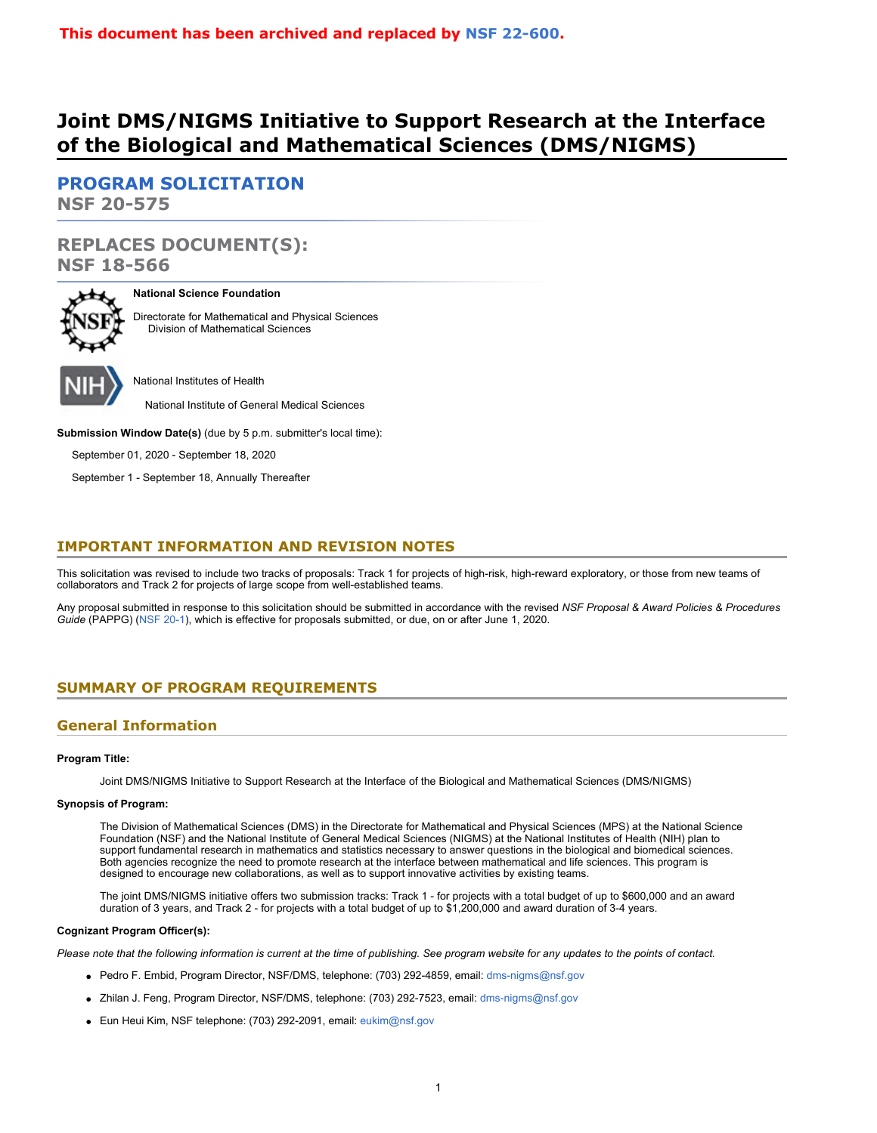# **Joint DMS/NIGMS Initiative to Support Research at the Interface of the Biological and Mathematical Sciences (DMS/NIGMS)**

**[PROGRAM SOLICITATION](#page-2-0) NSF 20-575**

# **REPLACES DOCUMENT(S): NSF 18-566**



**National Science Foundation**

Directorate for Mathematical and Physical Sciences Division of Mathematical Sciences

National Institutes of Health

National Institute of General Medical Sciences

**Submission Window Date(s)** (due by 5 p.m. submitter's local time):

September 01, 2020 - September 18, 2020

September 1 - September 18, Annually Thereafter

# **IMPORTANT INFORMATION AND REVISION NOTES**

This solicitation was revised to include two tracks of proposals: Track 1 for projects of high-risk, high-reward exploratory, or those from new teams of collaborators and Track 2 for projects of large scope from well-established teams.

Any proposal submitted in response to this solicitation should be submitted in accordance with the revised *NSF Proposal & Award Policies & Procedures Guide* (PAPPG) [\(NSF 20-1](https://www.nsf.gov/publications/pub_summ.jsp?ods_key=nsf20001&org=NSF)), which is effective for proposals submitted, or due, on or after June 1, 2020.

# <span id="page-0-0"></span>**SUMMARY OF PROGRAM REQUIREMENTS**

# **General Information**

#### **Program Title:**

Joint DMS/NIGMS Initiative to Support Research at the Interface of the Biological and Mathematical Sciences (DMS/NIGMS)

#### **Synopsis of Program:**

The Division of Mathematical Sciences (DMS) in the Directorate for Mathematical and Physical Sciences (MPS) at the National Science Foundation (NSF) and the National Institute of General Medical Sciences (NIGMS) at the National Institutes of Health (NIH) plan to support fundamental research in mathematics and statistics necessary to answer questions in the biological and biomedical sciences. Both agencies recognize the need to promote research at the interface between mathematical and life sciences. This program is designed to encourage new collaborations, as well as to support innovative activities by existing teams.

The joint DMS/NIGMS initiative offers two submission tracks: Track 1 - for projects with a total budget of up to \$600,000 and an award duration of 3 years, and Track 2 - for projects with a total budget of up to \$1,200,000 and award duration of 3-4 years.

#### **Cognizant Program Officer(s):**

*Please note that the following information is current at the time of publishing. See program website for any updates to the points of contact.*

- Pedro F. Embid, Program Director, NSF/DMS, telephone: (703) 292-4859, email: [dms-nigms@nsf.gov](mailto:dms-nigms@nsf.gov)
- Zhilan J. Feng, Program Director, NSF/DMS, telephone: (703) 292-7523, email: [dms-nigms@nsf.gov](mailto:dms-nigms@nsf.gov)
- Eun Heui Kim, NSF telephone: (703) 292-2091, email: [eukim@nsf.gov](mailto:eukim@nsf.gov)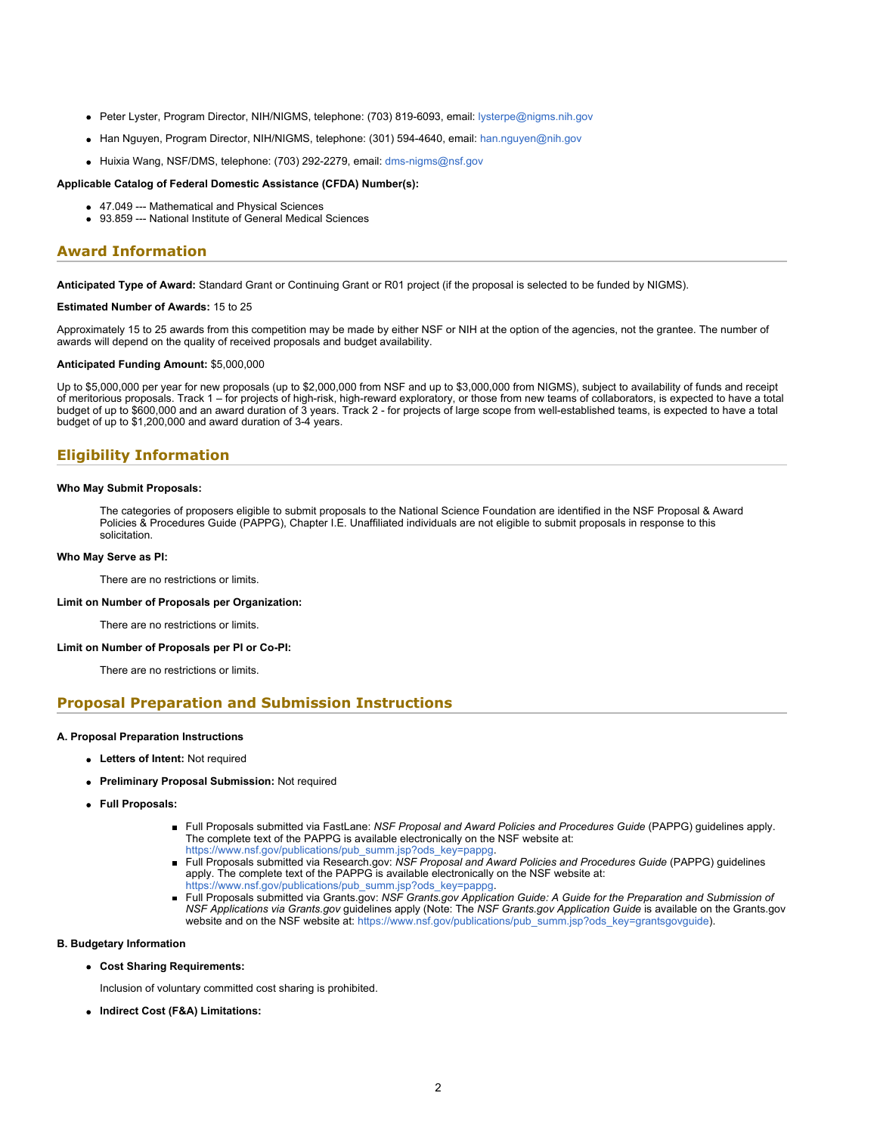- Peter Lyster, Program Director, NIH/NIGMS, telephone: (703) 819-6093, email: [lysterpe@nigms.nih.gov](mailto:lysterpe@nigms.nih.gov)
- Han Nguyen, Program Director, NIH/NIGMS, telephone: (301) 594-4640, email: [han.nguyen@nih.gov](mailto:han.nguyen@nih.gov)
- Huixia Wang, NSF/DMS, telephone: (703) 292-2279, email: [dms-nigms@nsf.gov](mailto:dms-nigms@nsf.gov)

#### **Applicable Catalog of Federal Domestic Assistance (CFDA) Number(s):**

- 47.049 --- Mathematical and Physical Sciences
- 93.859 --- National Institute of General Medical Sciences

# **Award Information**

**Anticipated Type of Award:** Standard Grant or Continuing Grant or R01 project (if the proposal is selected to be funded by NIGMS).

#### **Estimated Number of Awards:** 15 to 25

Approximately 15 to 25 awards from this competition may be made by either NSF or NIH at the option of the agencies, not the grantee. The number of awards will depend on the quality of received proposals and budget availability.

#### **Anticipated Funding Amount:** \$5,000,000

Up to \$5,000,000 per year for new proposals (up to \$2,000,000 from NSF and up to \$3,000,000 from NIGMS), subject to availability of funds and receipt of meritorious proposals. Track 1 – for projects of high-risk, high-reward exploratory, or those from new teams of collaborators, is expected to have a total budget of up to \$600,000 and an award duration of 3 years. Track 2 - for projects of large scope from well-established teams, is expected to have a total budget of up to \$1,200,000 and award duration of 3-4 years.

# **Eligibility Information**

#### **Who May Submit Proposals:**

The categories of proposers eligible to submit proposals to the National Science Foundation are identified in the NSF Proposal & Award Policies & Procedures Guide (PAPPG), Chapter I.E. Unaffiliated individuals are not eligible to submit proposals in response to this solicitation.

#### **Who May Serve as PI:**

There are no restrictions or limits.

#### **Limit on Number of Proposals per Organization:**

There are no restrictions or limits.

#### **Limit on Number of Proposals per PI or Co-PI:**

There are no restrictions or limits.

### **Proposal Preparation and Submission Instructions**

#### **A. Proposal Preparation Instructions**

- **Letters of Intent:** Not required
- **Preliminary Proposal Submission:** Not required
- **Full Proposals:**
	- Full Proposals submitted via FastLane: *NSF Proposal and Award Policies and Procedures Guide* (PAPPG) guidelines apply. The complete text of the PAPPG is available electronically on the NSF website at: https://www.nsf.gov/publications/pub\_summ.jsp?ods\_key=pappg
	- Full Proposals submitted via Research.gov: *NSF Proposal and Award Policies and Procedures Guide* (PAPPG) guidelines apply. The complete text of the PAPPG is available electronically on the NSF website at: [https://www.nsf.gov/publications/pub\\_summ.jsp?ods\\_key=pappg.](https://www.nsf.gov/publications/pub_summ.jsp?ods_key=pappg)
	- Full Proposals submitted via Grants.gov: *NSF Grants.gov Application Guide: A Guide for the Preparation and Submission of NSF Applications via Grants.gov* guidelines apply (Note: The *NSF Grants.gov Application Guide* is available on the Grants.gov website and on the NSF website at: [https://www.nsf.gov/publications/pub\\_summ.jsp?ods\\_key=grantsgovguide](https://www.nsf.gov/publications/pub_summ.jsp?ods_key=grantsgovguide)).

**B. Budgetary Information**

- **Cost Sharing Requirements:**
	- Inclusion of voluntary committed cost sharing is prohibited.
- **Indirect Cost (F&A) Limitations:**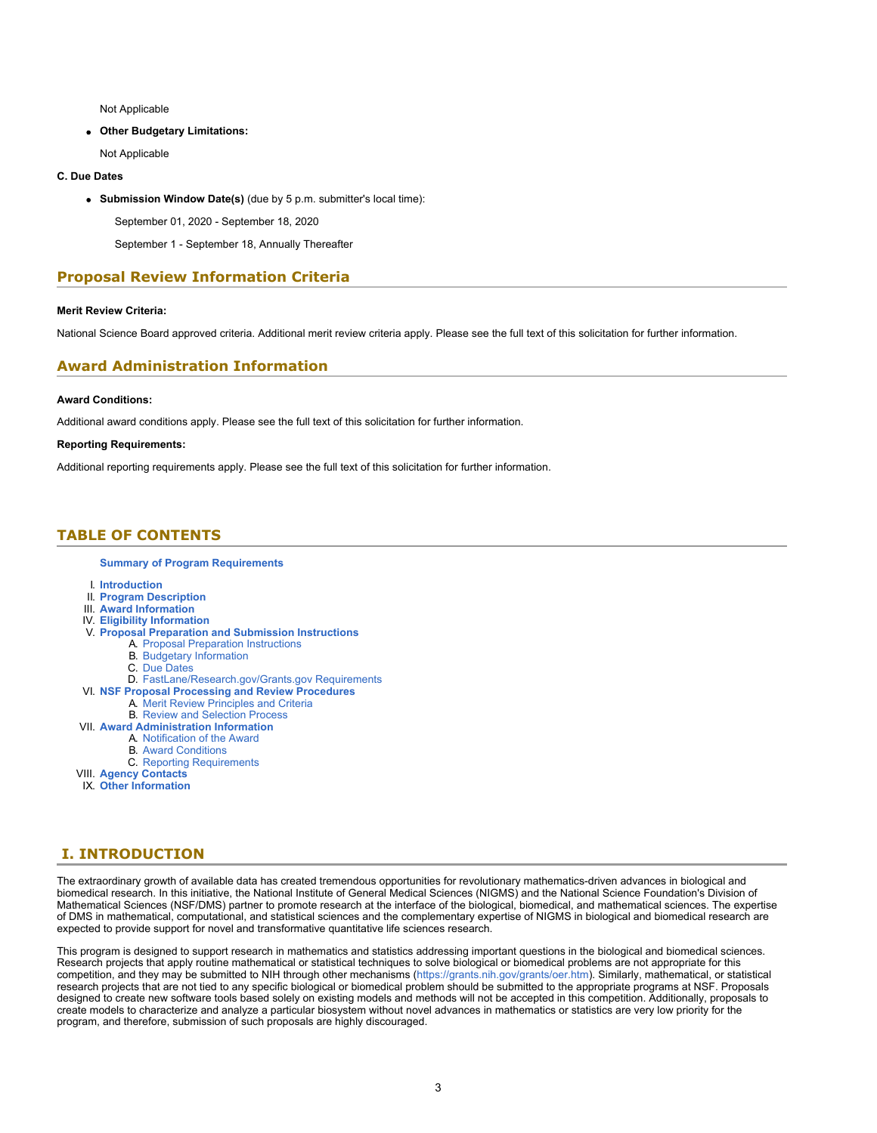Not Applicable

#### **Other Budgetary Limitations:**

Not Applicable

#### **C. Due Dates**

**Submission Window Date(s)** (due by 5 p.m. submitter's local time):

September 01, 2020 - September 18, 2020

September 1 - September 18, Annually Thereafter

### **Proposal Review Information Criteria**

#### **Merit Review Criteria:**

National Science Board approved criteria. Additional merit review criteria apply. Please see the full text of this solicitation for further information.

### **Award Administration Information**

#### **Award Conditions:**

Additional award conditions apply. Please see the full text of this solicitation for further information.

#### **Reporting Requirements:**

Additional reporting requirements apply. Please see the full text of this solicitation for further information.

# <span id="page-2-0"></span>**TABLE OF CONTENTS**

#### **[Summary of Program Requirements](#page-0-0)**

- I. **[Introduction](#page-2-1)**
- II. **[Program Description](#page-3-0)**
- III. **[Award Information](#page-3-1)**
- IV. **[Eligibility Information](#page-4-0)**
- V. **[Proposal Preparation and Submission Instructions](#page-4-1)**
	- A. [Proposal Preparation Instructions](#page-4-1)
	- B. [Budgetary Information](#page-5-0)
		- C. [Due Dates](#page-5-1)
- D. [FastLane/Research.gov/Grants.gov Requirements](#page-5-2)
- VI. **[NSF Proposal Processing and Review Procedures](#page-6-0)**
	- A. [Merit Review Principles and Criteria](#page-6-1)
		- B. [Review and Selection Process](#page-8-0)
- VII. **[Award Administration Information](#page-9-0)**
	- A. [Notification of the Award](#page-9-1)
	- B. [Award Conditions](#page-9-2)
	- C. [Reporting Requirements](#page-9-3)
- VIII. **[Agency Contacts](#page-9-4)**
- IX. **[Other Information](#page-10-0)**

# <span id="page-2-1"></span> **I. INTRODUCTION**

The extraordinary growth of available data has created tremendous opportunities for revolutionary mathematics-driven advances in biological and biomedical research. In this initiative, the National Institute of General Medical Sciences (NIGMS) and the National Science Foundation's Division of Mathematical Sciences (NSF/DMS) partner to promote research at the interface of the biological, biomedical, and mathematical sciences. The expertise of DMS in mathematical, computational, and statistical sciences and the complementary expertise of NIGMS in biological and biomedical research are expected to provide support for novel and transformative quantitative life sciences research.

This program is designed to support research in mathematics and statistics addressing important questions in the biological and biomedical sciences. Research projects that apply routine mathematical or statistical techniques to solve biological or biomedical problems are not appropriate for this competition, and they may be submitted to NIH through other mechanisms [\(https://grants.nih.gov/grants/oer.htm](https://grants.nih.gov/grants/oer.htm)). Similarly, mathematical, or statistical research projects that are not tied to any specific biological or biomedical problem should be submitted to the appropriate programs at NSF. Proposals designed to create new software tools based solely on existing models and methods will not be accepted in this competition. Additionally, proposals to create models to characterize and analyze a particular biosystem without novel advances in mathematics or statistics are very low priority for the program, and therefore, submission of such proposals are highly discouraged.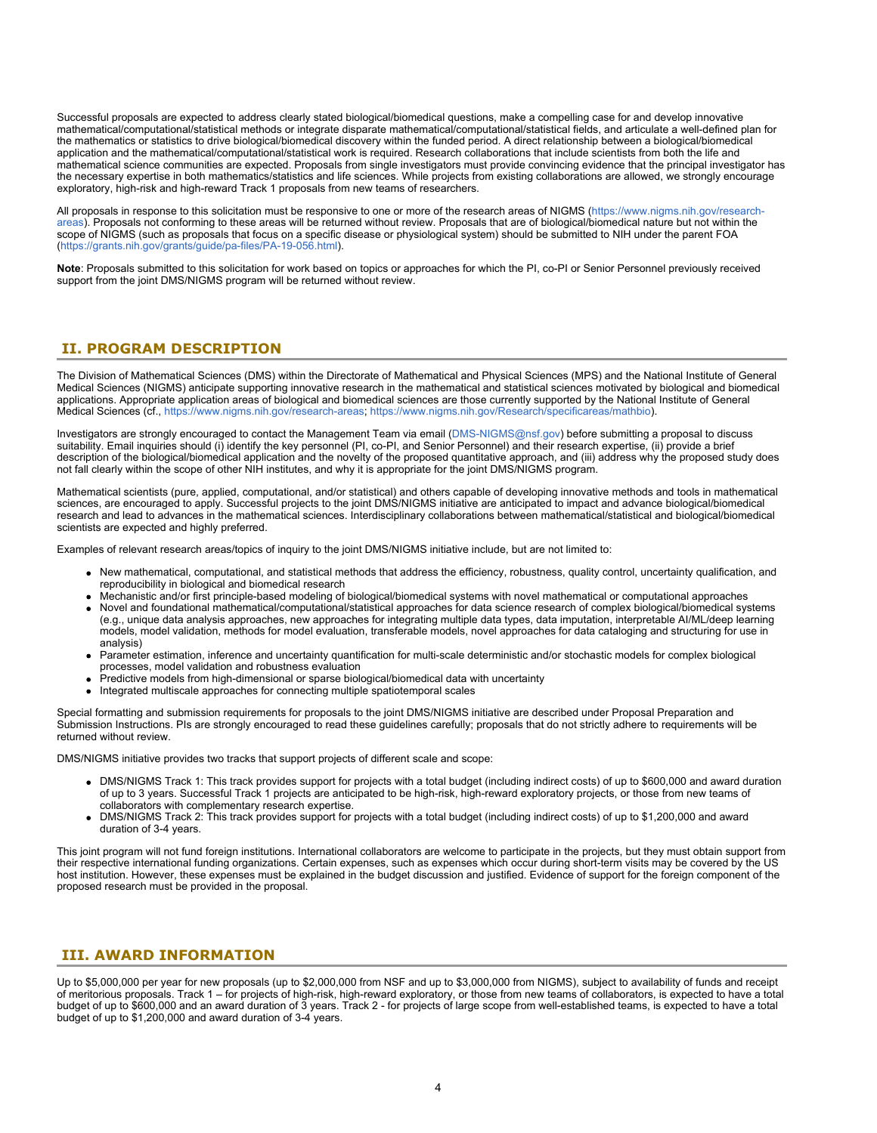Successful proposals are expected to address clearly stated biological/biomedical questions, make a compelling case for and develop innovative mathematical/computational/statistical methods or integrate disparate mathematical/computational/statistical fields, and articulate a well-defined plan for the mathematics or statistics to drive biological/biomedical discovery within the funded period. A direct relationship between a biological/biomedical application and the mathematical/computational/statistical work is required. Research collaborations that include scientists from both the life and mathematical science communities are expected. Proposals from single investigators must provide convincing evidence that the principal investigator has the necessary expertise in both mathematics/statistics and life sciences. While projects from existing collaborations are allowed, we strongly encourage exploratory, high-risk and high-reward Track 1 proposals from new teams of researchers.

All proposals in response to this solicitation must be responsive to one or more of the research areas of NIGMS [\(https://www.nigms.nih.gov/research](https://www.nigms.nih.gov/research-areas)[areas\)](https://www.nigms.nih.gov/research-areas). Proposals not conforming to these areas will be returned without review. Proposals that are of biological/biomedical nature but not within the scope of NIGMS (such as proposals that focus on a specific disease or physiological system) should be submitted to NIH under the parent FOA [\(https://grants.nih.gov/grants/guide/pa-files/PA-19-056.html](https://grants.nih.gov/grants/guide/pa-files/PA-19-056.html)).

**Note**: Proposals submitted to this solicitation for work based on topics or approaches for which the PI, co-PI or Senior Personnel previously received support from the joint DMS/NIGMS program will be returned without review.

# <span id="page-3-0"></span> **II. PROGRAM DESCRIPTION**

The Division of Mathematical Sciences (DMS) within the Directorate of Mathematical and Physical Sciences (MPS) and the National Institute of General Medical Sciences (NIGMS) anticipate supporting innovative research in the mathematical and statistical sciences motivated by biological and biomedical applications. Appropriate application areas of biological and biomedical sciences are those currently supported by the National Institute of General Medical Sciences (cf., [https://www.nigms.nih.gov/research-areas;](https://www.nigms.nih.gov/research-areas)<https://www.nigms.nih.gov/Research/specificareas/mathbio>).

Investigators are strongly encouraged to contact the Management Team via email [\(DMS-NIGMS@nsf.gov](mailto:DMS-NIGMS@nsf.gov)) before submitting a proposal to discuss suitability. Email inquiries should (i) identify the key personnel (PI, co-PI, and Senior Personnel) and their research expertise, (ii) provide a brief description of the biological/biomedical application and the novelty of the proposed quantitative approach, and (iii) address why the proposed study does not fall clearly within the scope of other NIH institutes, and why it is appropriate for the joint DMS/NIGMS program.

Mathematical scientists (pure, applied, computational, and/or statistical) and others capable of developing innovative methods and tools in mathematical sciences, are encouraged to apply. Successful projects to the joint DMS/NIGMS initiative are anticipated to impact and advance biological/biomedical research and lead to advances in the mathematical sciences. Interdisciplinary collaborations between mathematical/statistical and biological/biomedical scientists are expected and highly preferred.

Examples of relevant research areas/topics of inquiry to the joint DMS/NIGMS initiative include, but are not limited to:

- New mathematical, computational, and statistical methods that address the efficiency, robustness, quality control, uncertainty qualification, and reproducibility in biological and biomedical research
- Mechanistic and/or first principle-based modeling of biological/biomedical systems with novel mathematical or computational approaches
- Novel and foundational mathematical/computational/statistical approaches for data science research of complex biological/biomedical systems (e.g., unique data analysis approaches, new approaches for integrating multiple data types, data imputation, interpretable AI/ML/deep learning models, model validation, methods for model evaluation, transferable models, novel approaches for data cataloging and structuring for use in analysis)
- Parameter estimation, inference and uncertainty quantification for multi-scale deterministic and/or stochastic models for complex biological processes, model validation and robustness evaluation
- Predictive models from high-dimensional or sparse biological/biomedical data with uncertainty
- Integrated multiscale approaches for connecting multiple spatiotemporal scales

Special formatting and submission requirements for proposals to the joint DMS/NIGMS initiative are described under Proposal Preparation and Submission Instructions. PIs are strongly encouraged to read these guidelines carefully; proposals that do not strictly adhere to requirements will be returned without review.

DMS/NIGMS initiative provides two tracks that support projects of different scale and scope:

- DMS/NIGMS Track 1: This track provides support for projects with a total budget (including indirect costs) of up to \$600,000 and award duration of up to 3 years. Successful Track 1 projects are anticipated to be high-risk, high-reward exploratory projects, or those from new teams of collaborators with complementary research expertise.
- DMS/NIGMS Track 2: This track provides support for projects with a total budget (including indirect costs) of up to \$1,200,000 and award duration of 3-4 years.

This joint program will not fund foreign institutions. International collaborators are welcome to participate in the projects, but they must obtain support from their respective international funding organizations. Certain expenses, such as expenses which occur during short-term visits may be covered by the US host institution. However, these expenses must be explained in the budget discussion and justified. Evidence of support for the foreign component of the proposed research must be provided in the proposal.

### <span id="page-3-1"></span> **III. AWARD INFORMATION**

Up to \$5,000,000 per year for new proposals (up to \$2,000,000 from NSF and up to \$3,000,000 from NIGMS), subject to availability of funds and receipt of meritorious proposals. Track 1 – for projects of high-risk, high-reward exploratory, or those from new teams of collaborators, is expected to have a total budget of up to \$600,000 and an award duration of 3 years. Track 2 - for projects of large scope from well-established teams, is expected to have a total budget of up to \$1,200,000 and award duration of 3-4 years.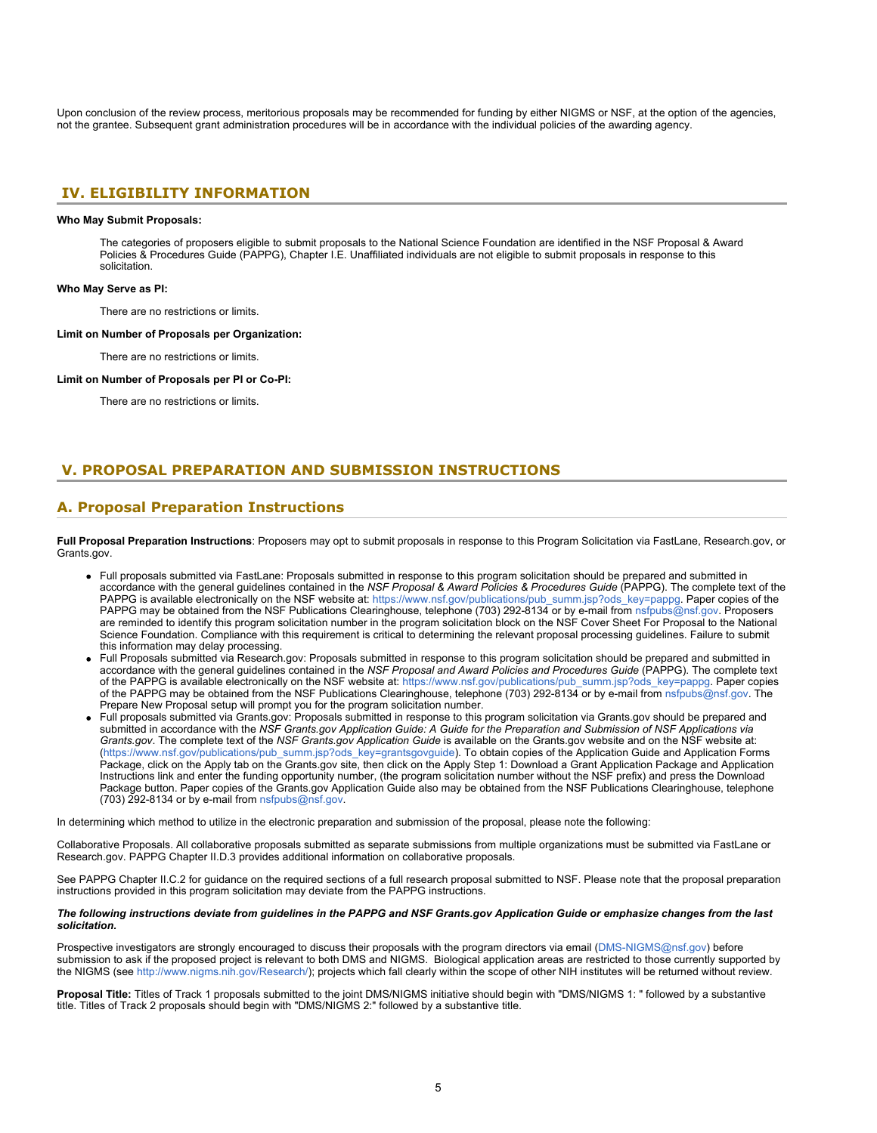Upon conclusion of the review process, meritorious proposals may be recommended for funding by either NIGMS or NSF, at the option of the agencies, not the grantee. Subsequent grant administration procedures will be in accordance with the individual policies of the awarding agency.

# <span id="page-4-0"></span> **IV. ELIGIBILITY INFORMATION**

#### **Who May Submit Proposals:**

The categories of proposers eligible to submit proposals to the National Science Foundation are identified in the NSF Proposal & Award Policies & Procedures Guide (PAPPG), Chapter I.E. Unaffiliated individuals are not eligible to submit proposals in response to this solicitation.

#### **Who May Serve as PI:**

There are no restrictions or limits.

#### **Limit on Number of Proposals per Organization:**

There are no restrictions or limits.

#### **Limit on Number of Proposals per PI or Co-PI:**

There are no restrictions or limits.

### <span id="page-4-1"></span> **V. PROPOSAL PREPARATION AND SUBMISSION INSTRUCTIONS**

### **A. Proposal Preparation Instructions**

**Full Proposal Preparation Instructions**: Proposers may opt to submit proposals in response to this Program Solicitation via FastLane, Research.gov, or Grants.gov.

- Full proposals submitted via FastLane: Proposals submitted in response to this program solicitation should be prepared and submitted in accordance with the general guidelines contained in the *NSF Proposal & Award Policies & Procedures Guide* (PAPPG). The complete text of the PAPPG is available electronically on the NSF website at: [https://www.nsf.gov/publications/pub\\_summ.jsp?ods\\_key=pappg](https://www.nsf.gov/publications/pub_summ.jsp?ods_key=pappg). Paper copies of the PAPPG may be obtained from the NSF Publications Clearinghouse, telephone (703) 292-8134 or by e-mail from [nsfpubs@nsf.gov](mailto:nsfpubs@nsf.gov). Proposers are reminded to identify this program solicitation number in the program solicitation block on the NSF Cover Sheet For Proposal to the National Science Foundation. Compliance with this requirement is critical to determining the relevant proposal processing guidelines. Failure to submit this information may delay processing.
- Full Proposals submitted via Research.gov: Proposals submitted in response to this program solicitation should be prepared and submitted in accordance with the general guidelines contained in the *NSF Proposal and Award Policies and Procedures Guide* (PAPPG). The complete text of the PAPPG is available electronically on the NSF website at: [https://www.nsf.gov/publications/pub\\_summ.jsp?ods\\_key=pappg](https://www.nsf.gov/publications/pub_summ.jsp?ods_key=pappg). Paper copies of the PAPPG may be obtained from the NSF Publications Clearinghouse, telephone (703) 292-8134 or by e-mail from [nsfpubs@nsf.gov](mailto:nsfpubs@nsf.gov). The Prepare New Proposal setup will prompt you for the program solicitation number.
- Full proposals submitted via Grants.gov: Proposals submitted in response to this program solicitation via Grants.gov should be prepared and submitted in accordance with the *NSF Grants.gov Application Guide: A Guide for the Preparation and Submission of NSF Applications via Grants.gov*. The complete text of the *NSF Grants.gov Application Guide* is available on the Grants.gov website and on the NSF website at: [\(https://www.nsf.gov/publications/pub\\_summ.jsp?ods\\_key=grantsgovguide](https://www.nsf.gov/publications/pub_summ.jsp?ods_key=grantsgovguide)). To obtain copies of the Application Guide and Application Forms Package, click on the Apply tab on the Grants.gov site, then click on the Apply Step 1: Download a Grant Application Package and Application Instructions link and enter the funding opportunity number, (the program solicitation number without the NSF prefix) and press the Download Package button. Paper copies of the Grants.gov Application Guide also may be obtained from the NSF Publications Clearinghouse, telephone (703) 292-8134 or by e-mail from [nsfpubs@nsf.gov](mailto:nsfpubs@nsf.gov).

In determining which method to utilize in the electronic preparation and submission of the proposal, please note the following:

Collaborative Proposals. All collaborative proposals submitted as separate submissions from multiple organizations must be submitted via FastLane or Research.gov. PAPPG Chapter II.D.3 provides additional information on collaborative proposals.

See PAPPG Chapter II.C.2 for guidance on the required sections of a full research proposal submitted to NSF. Please note that the proposal preparation instructions provided in this program solicitation may deviate from the PAPPG instructions.

#### *The following instructions deviate from guidelines in the PAPPG and NSF Grants.gov Application Guide or emphasize changes from the last solicitation.*

Prospective investigators are strongly encouraged to discuss their proposals with the program directors via email ([DMS-NIGMS@nsf.gov](mailto:DMS-NIGMS@nsf.gov)) before submission to ask if the proposed project is relevant to both DMS and NIGMS. Biological application areas are restricted to those currently supported by the NIGMS (see<http://www.nigms.nih.gov/Research/>); projects which fall clearly within the scope of other NIH institutes will be returned without review.

**Proposal Title:** Titles of Track 1 proposals submitted to the joint DMS/NIGMS initiative should begin with "DMS/NIGMS 1: " followed by a substantive title. Titles of Track 2 proposals should begin with "DMS/NIGMS 2:" followed by a substantive title.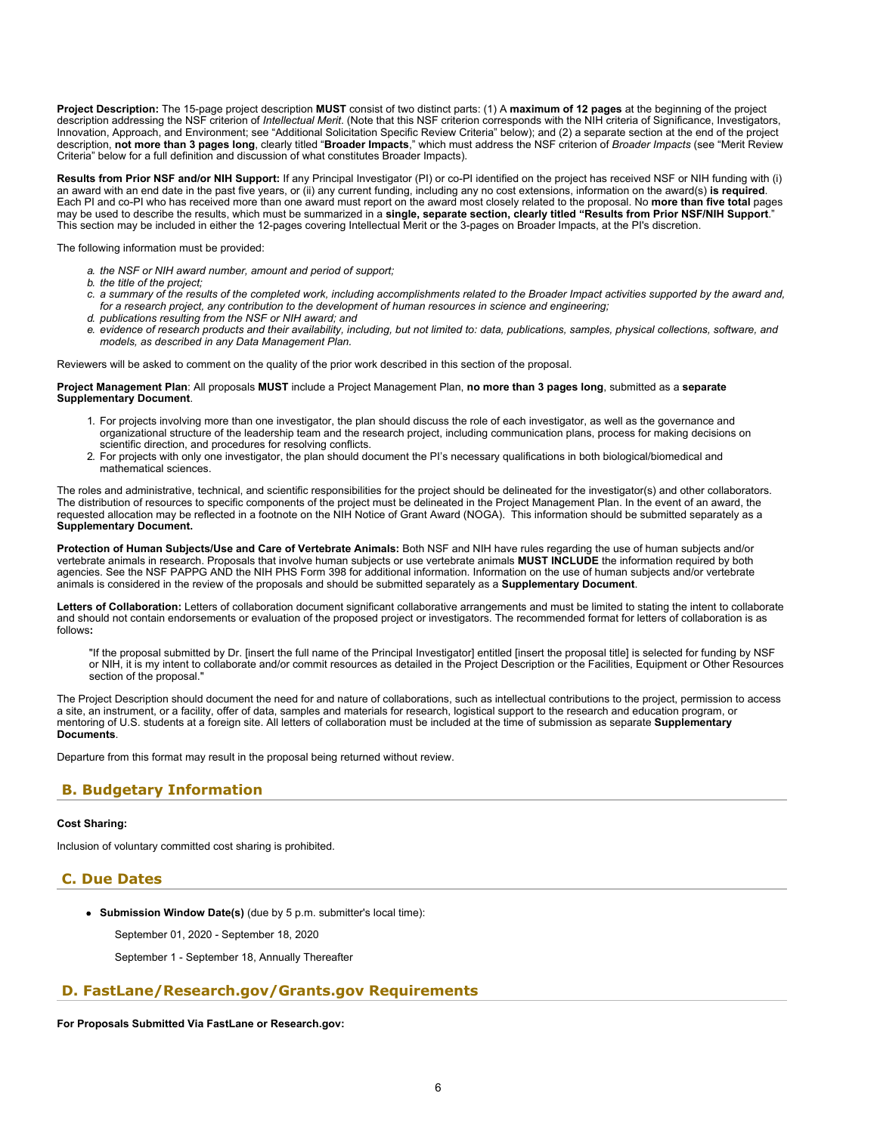<span id="page-5-1"></span>**Project Description:** The 15-page project description **MUST** consist of two distinct parts: (1) A **maximum of 12 pages** at the beginning of the project description addressing the NSF criterion of *Intellectual Merit*. (Note that this NSF criterion corresponds with the NIH criteria of Significance, Investigators, Innovation, Approach, and Environment; see "Additional Solicitation Specific Review Criteria" below); and (2) a separate section at the end of the project description, **not more than 3 pages long**, clearly titled "**Broader Impacts**," which must address the NSF criterion of *Broader Impacts* (see "Merit Review Criteria" below for a full definition and discussion of what constitutes Broader Impacts).

**Results from Prior NSF and/or NIH Support:** If any Principal Investigator (PI) or co-PI identified on the project has received NSF or NIH funding with (i) an award with an end date in the past five years, or (ii) any current funding, including any no cost extensions, information on the award(s) **is required**. Each PI and co-PI who has received more than one award must report on the award most closely related to the proposal. No **more than five total** pages may be used to describe the results, which must be summarized in a **single, separate section, clearly titled "Results from Prior NSF/NIH Support**." This section may be included in either the 12-pages covering Intellectual Merit or the 3-pages on Broader Impacts, at the PI's discretion.

The following information must be provided:

- *a. the NSF or NIH award number, amount and period of support;*
- *b. the title of the project;*
- *c. a summary of the results of the completed work, including accomplishments related to the Broader Impact activities supported by the award and, for a research project, any contribution to the development of human resources in science and engineering;*
- *d. publications resulting from the NSF or NIH award; and*
- *e. evidence of research products and their availability, including, but not limited to: data, publications, samples, physical collections, software, and models, as described in any Data Management Plan.*

Reviewers will be asked to comment on the quality of the prior work described in this section of the proposal.

**Project Management Plan**: All proposals **MUST** include a Project Management Plan, **no more than 3 pages long**, submitted as a **separate Supplementary Document**.

- 1. For projects involving more than one investigator, the plan should discuss the role of each investigator, as well as the governance and organizational structure of the leadership team and the research project, including communication plans, process for making decisions on scientific direction, and procedures for resolving conflicts.
- 2. For projects with only one investigator, the plan should document the PI's necessary qualifications in both biological/biomedical and mathematical sciences.

The roles and administrative, technical, and scientific responsibilities for the project should be delineated for the investigator(s) and other collaborators. The distribution of resources to specific components of the project must be delineated in the Project Management Plan. In the event of an award, the requested allocation may be reflected in a footnote on the NIH Notice of Grant Award (NOGA). This information should be submitted separately as a **Supplementary Document.**

**Protection of Human Subjects/Use and Care of Vertebrate Animals:** Both NSF and NIH have rules regarding the use of human subjects and/or vertebrate animals in research. Proposals that involve human subjects or use vertebrate animals **MUST INCLUDE** the information required by both agencies. See the NSF PAPPG AND the NIH PHS Form 398 for additional information. Information on the use of human subjects and/or vertebrate animals is considered in the review of the proposals and should be submitted separately as a **Supplementary Document**.

Letters of Collaboration: Letters of collaboration document significant collaborative arrangements and must be limited to stating the intent to collaborate and should not contain endorsements or evaluation of the proposed project or investigators. The recommended format for letters of collaboration is as follows**:**

"If the proposal submitted by Dr. [insert the full name of the Principal Investigator] entitled [insert the proposal title] is selected for funding by NSF or NIH, it is my intent to collaborate and/or commit resources as detailed in the Project Description or the Facilities, Equipment or Other Resources section of the proposal."

The Project Description should document the need for and nature of collaborations, such as intellectual contributions to the project, permission to access a site, an instrument, or a facility, offer of data, samples and materials for research, logistical support to the research and education program, or mentoring of U.S. students at a foreign site. All letters of collaboration must be included at the time of submission as separate **Supplementary Documents**.

Departure from this format may result in the proposal being returned without review.

# <span id="page-5-0"></span> **B. Budgetary Information**

#### **Cost Sharing:**

Inclusion of voluntary committed cost sharing is prohibited.

### **C. Due Dates**

**Submission Window Date(s)** (due by 5 p.m. submitter's local time):

September 01, 2020 - September 18, 2020

September 1 - September 18, Annually Thereafter

### <span id="page-5-2"></span> **D. FastLane/Research.gov/Grants.gov Requirements**

**For Proposals Submitted Via FastLane or Research.gov:**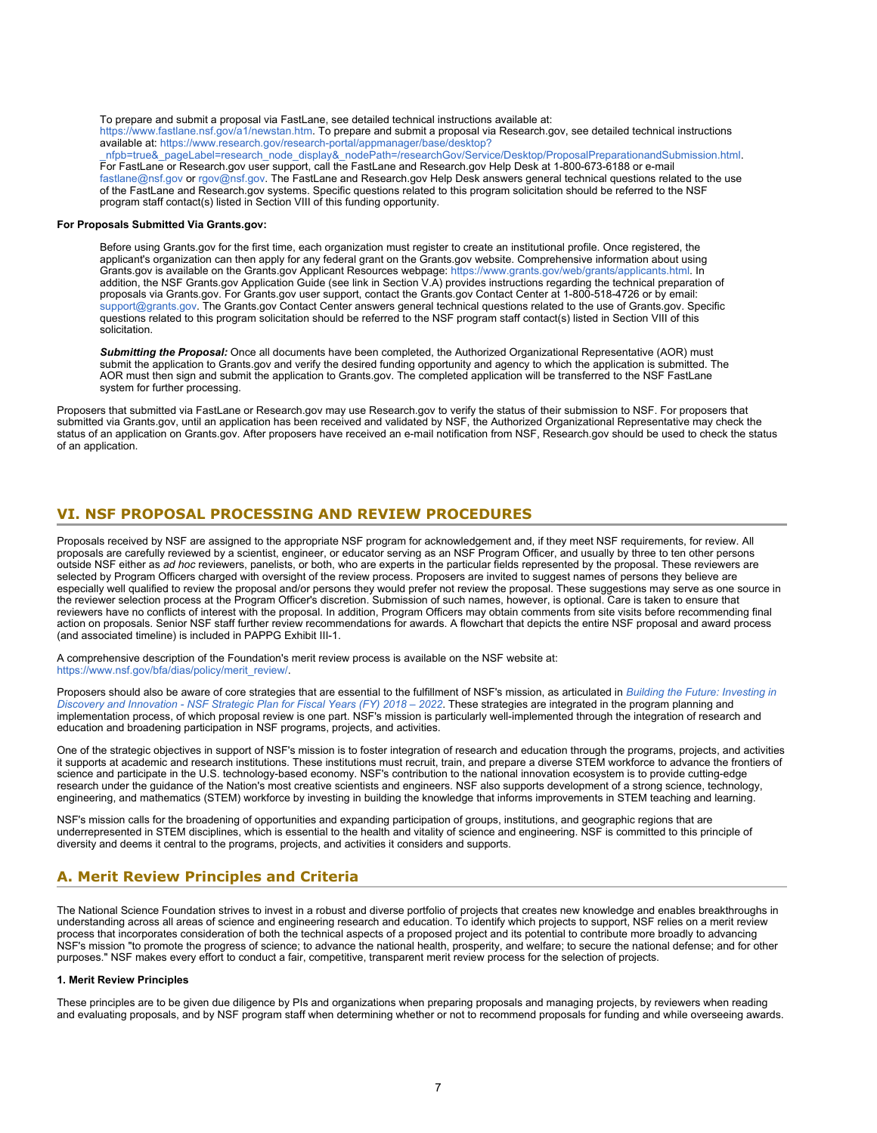To prepare and submit a proposal via FastLane, see detailed technical instructions available at:

<https://www.fastlane.nsf.gov/a1/newstan.htm>. To prepare and submit a proposal via Research.gov, see detailed technical instructions available at: [https://www.research.gov/research-portal/appmanager/base/desktop?](https://www.research.gov/research-portal/appmanager/base/desktop?_nfpb=true&_pageLabel=research_node_display&_nodePath=/researchGov/Service/Desktop/ProposalPreparationandSubmission.html)

[\\_nfpb=true&\\_pageLabel=research\\_node\\_display&\\_nodePath=/researchGov/Service/Desktop/ProposalPreparationandSubmission.html](https://www.research.gov/research-portal/appmanager/base/desktop?_nfpb=true&_pageLabel=research_node_display&_nodePath=/researchGov/Service/Desktop/ProposalPreparationandSubmission.html). For FastLane or Research.gov user support, call the FastLane and Research.gov Help Desk at 1-800-673-6188 or e-mail [fastlane@nsf.gov](mailto:fastlane@nsf.gov) or [rgov@nsf.gov](mailto:rgov@nsf.gov). The FastLane and Research.gov Help Desk answers general technical questions related to the use of the FastLane and Research.gov systems. Specific questions related to this program solicitation should be referred to the NSF program staff contact(s) listed in Section VIII of this funding opportunity.

#### **For Proposals Submitted Via Grants.gov:**

Before using Grants.gov for the first time, each organization must register to create an institutional profile. Once registered, the applicant's organization can then apply for any federal grant on the Grants.gov website. Comprehensive information about using Grants.gov is available on the Grants.gov Applicant Resources webpage:<https://www.grants.gov/web/grants/applicants.html>. In addition, the NSF Grants.gov Application Guide (see link in Section V.A) provides instructions regarding the technical preparation of proposals via Grants.gov. For Grants.gov user support, contact the Grants.gov Contact Center at 1-800-518-4726 or by email: [support@grants.gov.](mailto:support@grants.gov) The Grants.gov Contact Center answers general technical questions related to the use of Grants.gov. Specific questions related to this program solicitation should be referred to the NSF program staff contact(s) listed in Section VIII of this solicitation.

*Submitting the Proposal:* Once all documents have been completed, the Authorized Organizational Representative (AOR) must submit the application to Grants.gov and verify the desired funding opportunity and agency to which the application is submitted. The AOR must then sign and submit the application to Grants.gov. The completed application will be transferred to the NSF FastLane system for further processing.

Proposers that submitted via FastLane or Research.gov may use Research.gov to verify the status of their submission to NSF. For proposers that submitted via Grants.gov, until an application has been received and validated by NSF, the Authorized Organizational Representative may check the status of an application on Grants.gov. After proposers have received an e-mail notification from NSF, Research.gov should be used to check the status of an application.

### <span id="page-6-0"></span>**VI. NSF PROPOSAL PROCESSING AND REVIEW PROCEDURES**

Proposals received by NSF are assigned to the appropriate NSF program for acknowledgement and, if they meet NSF requirements, for review. All proposals are carefully reviewed by a scientist, engineer, or educator serving as an NSF Program Officer, and usually by three to ten other persons outside NSF either as *ad hoc* reviewers, panelists, or both, who are experts in the particular fields represented by the proposal. These reviewers are selected by Program Officers charged with oversight of the review process. Proposers are invited to suggest names of persons they believe are especially well qualified to review the proposal and/or persons they would prefer not review the proposal. These suggestions may serve as one source in the reviewer selection process at the Program Officer's discretion. Submission of such names, however, is optional. Care is taken to ensure that reviewers have no conflicts of interest with the proposal. In addition, Program Officers may obtain comments from site visits before recommending final action on proposals. Senior NSF staff further review recommendations for awards. A flowchart that depicts the entire NSF proposal and award process (and associated timeline) is included in PAPPG Exhibit III-1.

A comprehensive description of the Foundation's merit review process is available on the NSF website at: [https://www.nsf.gov/bfa/dias/policy/merit\\_review/](https://www.nsf.gov/bfa/dias/policy/merit_review/).

Proposers should also be aware of core strategies that are essential to the fulfillment of NSF's mission, as articulated in *[Building the Future: Investing in](https://www.nsf.gov/publications/pub_summ.jsp?ods_key=nsf18045) [Discovery and Innovation - NSF Strategic Plan for Fiscal Years \(FY\) 2018 – 2022](https://www.nsf.gov/publications/pub_summ.jsp?ods_key=nsf18045)*. These strategies are integrated in the program planning and implementation process, of which proposal review is one part. NSF's mission is particularly well-implemented through the integration of research and education and broadening participation in NSF programs, projects, and activities.

One of the strategic objectives in support of NSF's mission is to foster integration of research and education through the programs, projects, and activities it supports at academic and research institutions. These institutions must recruit, train, and prepare a diverse STEM workforce to advance the frontiers of science and participate in the U.S. technology-based economy. NSF's contribution to the national innovation ecosystem is to provide cutting-edge research under the guidance of the Nation's most creative scientists and engineers. NSF also supports development of a strong science, technology, engineering, and mathematics (STEM) workforce by investing in building the knowledge that informs improvements in STEM teaching and learning.

NSF's mission calls for the broadening of opportunities and expanding participation of groups, institutions, and geographic regions that are underrepresented in STEM disciplines, which is essential to the health and vitality of science and engineering. NSF is committed to this principle of diversity and deems it central to the programs, projects, and activities it considers and supports.

# <span id="page-6-1"></span>**A. Merit Review Principles and Criteria**

The National Science Foundation strives to invest in a robust and diverse portfolio of projects that creates new knowledge and enables breakthroughs in understanding across all areas of science and engineering research and education. To identify which projects to support, NSF relies on a merit review process that incorporates consideration of both the technical aspects of a proposed project and its potential to contribute more broadly to advancing NSF's mission "to promote the progress of science; to advance the national health, prosperity, and welfare; to secure the national defense; and for other purposes." NSF makes every effort to conduct a fair, competitive, transparent merit review process for the selection of projects.

#### **1. Merit Review Principles**

These principles are to be given due diligence by PIs and organizations when preparing proposals and managing projects, by reviewers when reading and evaluating proposals, and by NSF program staff when determining whether or not to recommend proposals for funding and while overseeing awards.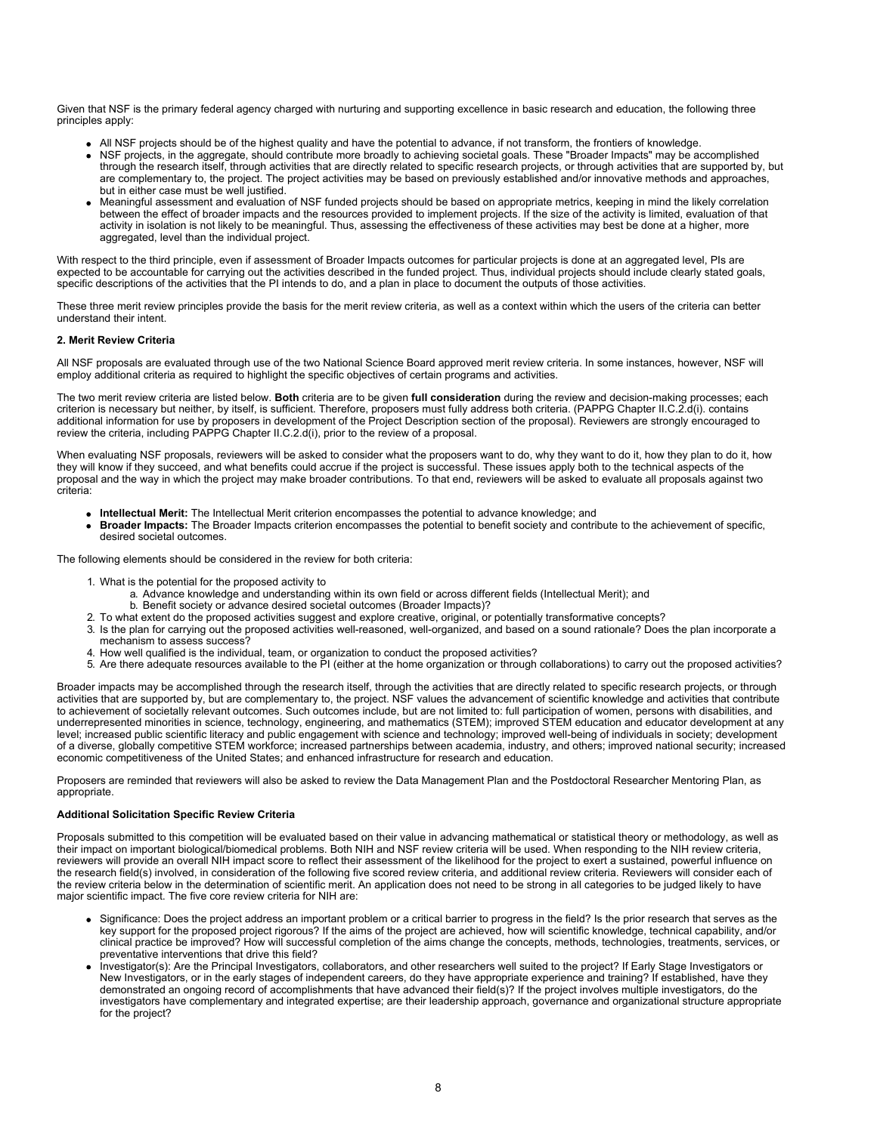Given that NSF is the primary federal agency charged with nurturing and supporting excellence in basic research and education, the following three principles apply:

- All NSF projects should be of the highest quality and have the potential to advance, if not transform, the frontiers of knowledge.
- NSF projects, in the aggregate, should contribute more broadly to achieving societal goals. These "Broader Impacts" may be accomplished through the research itself, through activities that are directly related to specific research projects, or through activities that are supported by, but are complementary to, the project. The project activities may be based on previously established and/or innovative methods and approaches, but in either case must be well justified.
- Meaningful assessment and evaluation of NSF funded projects should be based on appropriate metrics, keeping in mind the likely correlation between the effect of broader impacts and the resources provided to implement projects. If the size of the activity is limited, evaluation of that activity in isolation is not likely to be meaningful. Thus, assessing the effectiveness of these activities may best be done at a higher, more aggregated, level than the individual project.

With respect to the third principle, even if assessment of Broader Impacts outcomes for particular projects is done at an aggregated level, PIs are expected to be accountable for carrying out the activities described in the funded project. Thus, individual projects should include clearly stated goals, specific descriptions of the activities that the PI intends to do, and a plan in place to document the outputs of those activities.

These three merit review principles provide the basis for the merit review criteria, as well as a context within which the users of the criteria can better understand their intent.

#### **2. Merit Review Criteria**

All NSF proposals are evaluated through use of the two National Science Board approved merit review criteria. In some instances, however, NSF will employ additional criteria as required to highlight the specific objectives of certain programs and activities.

The two merit review criteria are listed below. **Both** criteria are to be given **full consideration** during the review and decision-making processes; each criterion is necessary but neither, by itself, is sufficient. Therefore, proposers must fully address both criteria. (PAPPG Chapter II.C.2.d(i). contains additional information for use by proposers in development of the Project Description section of the proposal). Reviewers are strongly encouraged to review the criteria, including PAPPG Chapter II.C.2.d(i), prior to the review of a proposal.

When evaluating NSF proposals, reviewers will be asked to consider what the proposers want to do, why they want to do it, how they plan to do it, how they will know if they succeed, and what benefits could accrue if the project is successful. These issues apply both to the technical aspects of the proposal and the way in which the project may make broader contributions. To that end, reviewers will be asked to evaluate all proposals against two criteria:

- **Intellectual Merit:** The Intellectual Merit criterion encompasses the potential to advance knowledge; and
- **Broader Impacts:** The Broader Impacts criterion encompasses the potential to benefit society and contribute to the achievement of specific, desired societal outcomes.

The following elements should be considered in the review for both criteria:

- 1. What is the potential for the proposed activity to
	- a. Advance knowledge and understanding within its own field or across different fields (Intellectual Merit); and
	- b. Benefit society or advance desired societal outcomes (Broader Impacts)?
- 2. To what extent do the proposed activities suggest and explore creative, original, or potentially transformative concepts?
- 3. Is the plan for carrying out the proposed activities well-reasoned, well-organized, and based on a sound rationale? Does the plan incorporate a mechanism to assess success?
- 4. How well qualified is the individual, team, or organization to conduct the proposed activities?
- 5. Are there adequate resources available to the PI (either at the home organization or through collaborations) to carry out the proposed activities?

Broader impacts may be accomplished through the research itself, through the activities that are directly related to specific research projects, or through activities that are supported by, but are complementary to, the project. NSF values the advancement of scientific knowledge and activities that contribute to achievement of societally relevant outcomes. Such outcomes include, but are not limited to: full participation of women, persons with disabilities, and underrepresented minorities in science, technology, engineering, and mathematics (STEM); improved STEM education and educator development at any level; increased public scientific literacy and public engagement with science and technology; improved well-being of individuals in society; development of a diverse, globally competitive STEM workforce; increased partnerships between academia, industry, and others; improved national security; increased economic competitiveness of the United States; and enhanced infrastructure for research and education.

Proposers are reminded that reviewers will also be asked to review the Data Management Plan and the Postdoctoral Researcher Mentoring Plan, as appropriate.

#### **Additional Solicitation Specific Review Criteria**

Proposals submitted to this competition will be evaluated based on their value in advancing mathematical or statistical theory or methodology, as well as their impact on important biological/biomedical problems. Both NIH and NSF review criteria will be used. When responding to the NIH review criteria, reviewers will provide an overall NIH impact score to reflect their assessment of the likelihood for the project to exert a sustained, powerful influence on the research field(s) involved, in consideration of the following five scored review criteria, and additional review criteria. Reviewers will consider each of the review criteria below in the determination of scientific merit. An application does not need to be strong in all categories to be judged likely to have major scientific impact. The five core review criteria for NIH are:

- Significance: Does the project address an important problem or a critical barrier to progress in the field? Is the prior research that serves as the key support for the proposed project rigorous? If the aims of the project are achieved, how will scientific knowledge, technical capability, and/or clinical practice be improved? How will successful completion of the aims change the concepts, methods, technologies, treatments, services, or preventative interventions that drive this field?
- Investigator(s): Are the Principal Investigators, collaborators, and other researchers well suited to the project? If Early Stage Investigators or New Investigators, or in the early stages of independent careers, do they have appropriate experience and training? If established, have they demonstrated an ongoing record of accomplishments that have advanced their field(s)? If the project involves multiple investigators, do the investigators have complementary and integrated expertise; are their leadership approach, governance and organizational structure appropriate for the project?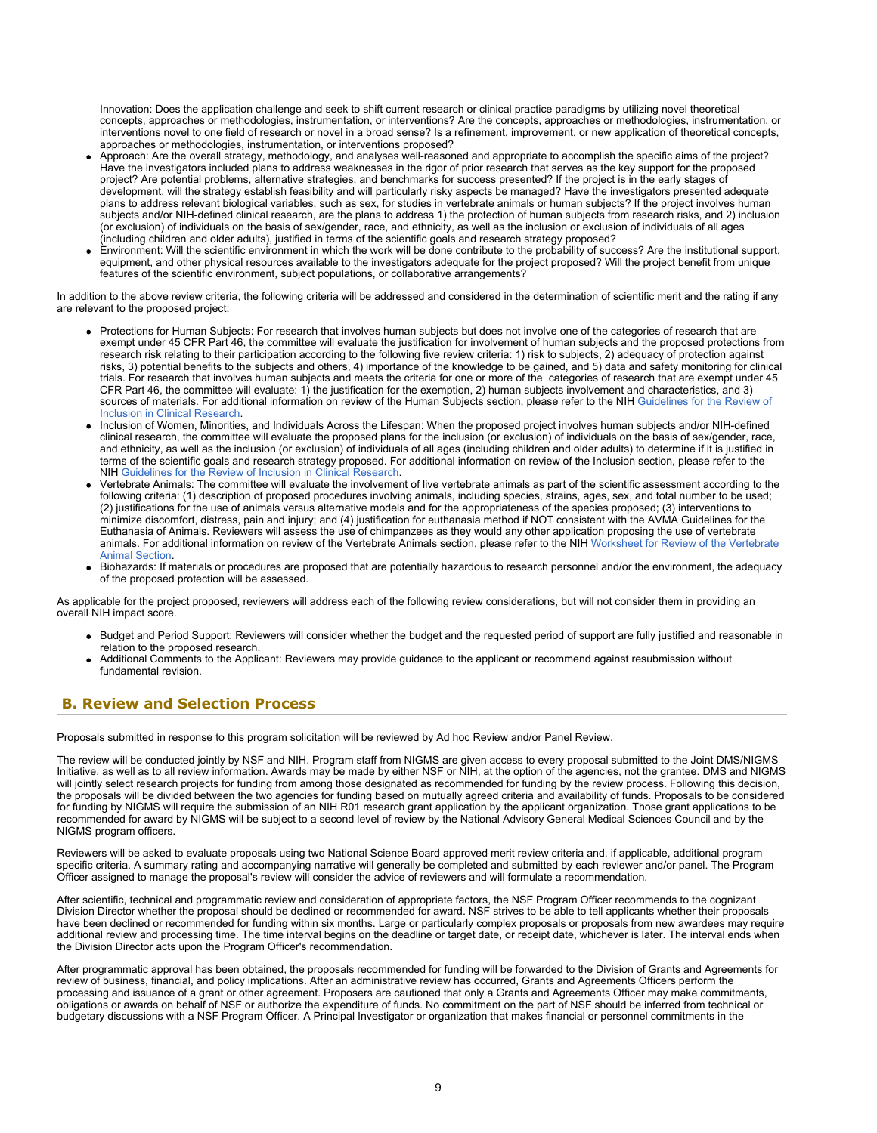Innovation: Does the application challenge and seek to shift current research or clinical practice paradigms by utilizing novel theoretical concepts, approaches or methodologies, instrumentation, or interventions? Are the concepts, approaches or methodologies, instrumentation, or interventions novel to one field of research or novel in a broad sense? Is a refinement, improvement, or new application of theoretical concepts, approaches or methodologies, instrumentation, or interventions proposed?

- Approach: Are the overall strategy, methodology, and analyses well-reasoned and appropriate to accomplish the specific aims of the project? Have the investigators included plans to address weaknesses in the rigor of prior research that serves as the key support for the proposed project? Are potential problems, alternative strategies, and benchmarks for success presented? If the project is in the early stages of development, will the strategy establish feasibility and will particularly risky aspects be managed? Have the investigators presented adequate plans to address relevant biological variables, such as sex, for studies in vertebrate animals or human subjects? If the project involves human subjects and/or NIH-defined clinical research, are the plans to address 1) the protection of human subjects from research risks, and 2) inclusion (or exclusion) of individuals on the basis of sex/gender, race, and ethnicity, as well as the inclusion or exclusion of individuals of all ages (including children and older adults), justified in terms of the scientific goals and research strategy proposed?
- Environment: Will the scientific environment in which the work will be done contribute to the probability of success? Are the institutional support, equipment, and other physical resources available to the investigators adequate for the project proposed? Will the project benefit from unique features of the scientific environment, subject populations, or collaborative arrangements?

In addition to the above review criteria, the following criteria will be addressed and considered in the determination of scientific merit and the rating if any are relevant to the proposed project:

- Protections for Human Subjects: For research that involves human subjects but does not involve one of the categories of research that are exempt under 45 CFR Part 46, the committee will evaluate the justification for involvement of human subjects and the proposed protections from research risk relating to their participation according to the following five review criteria: 1) risk to subjects, 2) adequacy of protection against risks, 3) potential benefits to the subjects and others, 4) importance of the knowledge to be gained, and 5) data and safety monitoring for clinical trials. For research that involves human subjects and meets the criteria for one or more of the categories of research that are exempt under 45 CFR Part 46, the committee will evaluate: 1) the justification for the exemption, 2) human subjects involvement and characteristics, and 3) sources of materials. For additional information on review of the Human Subjects section, please refer to the NIH [Guidelines for the Review of](https://grants.nih.gov/grants/guide/url_redirect.htm?id=11174) [Inclusion in Clinical Research.](https://grants.nih.gov/grants/guide/url_redirect.htm?id=11174)
- Inclusion of Women, Minorities, and Individuals Across the Lifespan: When the proposed project involves human subjects and/or NIH-defined clinical research, the committee will evaluate the proposed plans for the inclusion (or exclusion) of individuals on the basis of sex/gender, race, and ethnicity, as well as the inclusion (or exclusion) of individuals of all ages (including children and older adults) to determine if it is justified in terms of the scientific goals and research strategy proposed. For additional information on review of the Inclusion section, please refer to the NIH [Guidelines for the Review of Inclusion in Clinical Research.](https://grants.nih.gov/grants/guide/url_redirect.htm?id=11174)
- Vertebrate Animals: The committee will evaluate the involvement of live vertebrate animals as part of the scientific assessment according to the following criteria: (1) description of proposed procedures involving animals, including species, strains, ages, sex, and total number to be used; (2) justifications for the use of animals versus alternative models and for the appropriateness of the species proposed; (3) interventions to minimize discomfort, distress, pain and injury; and (4) justification for euthanasia method if NOT consistent with the AVMA Guidelines for the Euthanasia of Animals. Reviewers will assess the use of chimpanzees as they would any other application proposing the use of vertebrate animals. For additional information on review of the Vertebrate Animals section, please refer to the NIH [Worksheet for Review of the Vertebrate](https://grants.nih.gov/grants/guide/url_redirect.htm?id=11150) [Animal Section.](https://grants.nih.gov/grants/guide/url_redirect.htm?id=11150)
- Biohazards: If materials or procedures are proposed that are potentially hazardous to research personnel and/or the environment, the adequacy of the proposed protection will be assessed.

As applicable for the project proposed, reviewers will address each of the following review considerations, but will not consider them in providing an overall NIH impact score.

- Budget and Period Support: Reviewers will consider whether the budget and the requested period of support are fully justified and reasonable in relation to the proposed research.
- Additional Comments to the Applicant: Reviewers may provide guidance to the applicant or recommend against resubmission without fundamental revision.

# <span id="page-8-0"></span> **B. Review and Selection Process**

Proposals submitted in response to this program solicitation will be reviewed by Ad hoc Review and/or Panel Review.

The review will be conducted jointly by NSF and NIH. Program staff from NIGMS are given access to every proposal submitted to the Joint DMS/NIGMS Initiative, as well as to all review information. Awards may be made by either NSF or NIH, at the option of the agencies, not the grantee. DMS and NIGMS will jointly select research projects for funding from among those designated as recommended for funding by the review process. Following this decision, the proposals will be divided between the two agencies for funding based on mutually agreed criteria and availability of funds. Proposals to be considered for funding by NIGMS will require the submission of an NIH R01 research grant application by the applicant organization. Those grant applications to be recommended for award by NIGMS will be subject to a second level of review by the National Advisory General Medical Sciences Council and by the NIGMS program officers.

Reviewers will be asked to evaluate proposals using two National Science Board approved merit review criteria and, if applicable, additional program specific criteria. A summary rating and accompanying narrative will generally be completed and submitted by each reviewer and/or panel. The Program Officer assigned to manage the proposal's review will consider the advice of reviewers and will formulate a recommendation.

After scientific, technical and programmatic review and consideration of appropriate factors, the NSF Program Officer recommends to the cognizant Division Director whether the proposal should be declined or recommended for award. NSF strives to be able to tell applicants whether their proposals have been declined or recommended for funding within six months. Large or particularly complex proposals or proposals from new awardees may require additional review and processing time. The time interval begins on the deadline or target date, or receipt date, whichever is later. The interval ends when the Division Director acts upon the Program Officer's recommendation.

After programmatic approval has been obtained, the proposals recommended for funding will be forwarded to the Division of Grants and Agreements for review of business, financial, and policy implications. After an administrative review has occurred, Grants and Agreements Officers perform the processing and issuance of a grant or other agreement. Proposers are cautioned that only a Grants and Agreements Officer may make commitments, obligations or awards on behalf of NSF or authorize the expenditure of funds. No commitment on the part of NSF should be inferred from technical or budgetary discussions with a NSF Program Officer. A Principal Investigator or organization that makes financial or personnel commitments in the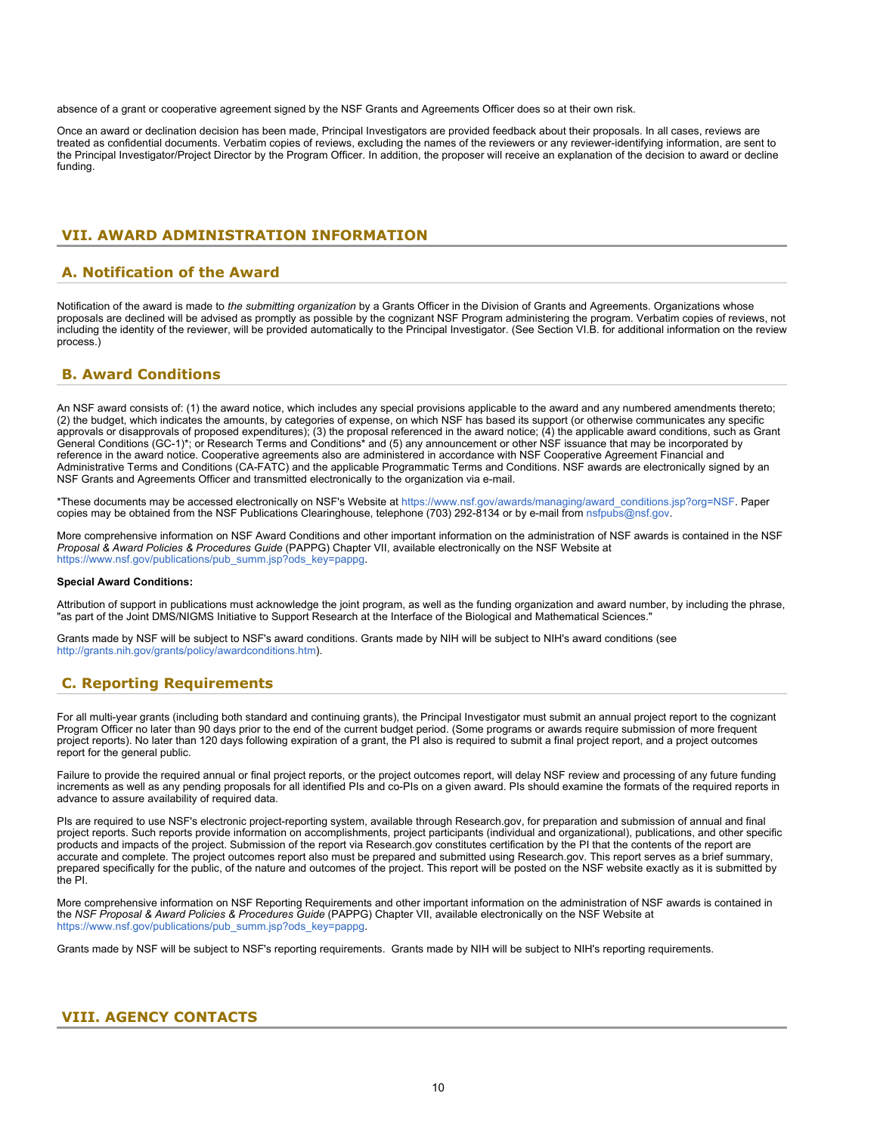absence of a grant or cooperative agreement signed by the NSF Grants and Agreements Officer does so at their own risk.

Once an award or declination decision has been made, Principal Investigators are provided feedback about their proposals. In all cases, reviews are treated as confidential documents. Verbatim copies of reviews, excluding the names of the reviewers or any reviewer-identifying information, are sent to the Principal Investigator/Project Director by the Program Officer. In addition, the proposer will receive an explanation of the decision to award or decline funding.

# <span id="page-9-0"></span> **VII. AWARD ADMINISTRATION INFORMATION**

# <span id="page-9-1"></span> **A. Notification of the Award**

Notification of the award is made to the submitting organization by a Grants Officer in the Division of Grants and Agreements. Organizations whose proposals are declined will be advised as promptly as possible by the cognizant NSF Program administering the program. Verbatim copies of reviews, not including the identity of the reviewer, will be provided automatically to the Principal Investigator. (See Section VI.B. for additional information on the review process.)

### <span id="page-9-2"></span> **B. Award Conditions**

An NSF award consists of: (1) the award notice, which includes any special provisions applicable to the award and any numbered amendments thereto; (2) the budget, which indicates the amounts, by categories of expense, on which NSF has based its support (or otherwise communicates any specific approvals or disapprovals of proposed expenditures); (3) the proposal referenced in the award notice; (4) the applicable award conditions, such as Grant General Conditions (GC-1)\*; or Research Terms and Conditions\* and (5) any announcement or other NSF issuance that may be incorporated by reference in the award notice. Cooperative agreements also are administered in accordance with NSF Cooperative Agreement Financial and Administrative Terms and Conditions (CA-FATC) and the applicable Programmatic Terms and Conditions. NSF awards are electronically signed by an NSF Grants and Agreements Officer and transmitted electronically to the organization via e-mail.

\*These documents may be accessed electronically on NSF's Website at [https://www.nsf.gov/awards/managing/award\\_conditions.jsp?org=NSF](https://www.nsf.gov/awards/managing/award_conditions.jsp?org=NSF). Paper copies may be obtained from the NSF Publications Clearinghouse, telephone (703) 292-8134 or by e-mail from [nsfpubs@nsf.gov.](mailto:nsfpubs@nsf.gov)

More comprehensive information on NSF Award Conditions and other important information on the administration of NSF awards is contained in the NSF *Proposal & Award Policies & Procedures Guide* (PAPPG) Chapter VII, available electronically on the NSF Website at [https://www.nsf.gov/publications/pub\\_summ.jsp?ods\\_key=pappg.](https://www.nsf.gov/publications/pub_summ.jsp?ods_key=pappg)

#### **Special Award Conditions:**

Attribution of support in publications must acknowledge the joint program, as well as the funding organization and award number, by including the phrase, "as part of the Joint DMS/NIGMS Initiative to Support Research at the Interface of the Biological and Mathematical Sciences."

Grants made by NSF will be subject to NSF's award conditions. Grants made by NIH will be subject to NIH's award conditions (see [http://grants.nih.gov/grants/policy/awardconditions.htm\)](http://grants.nih.gov/grants/policy/awardconditions.htm).

# <span id="page-9-3"></span> **C. Reporting Requirements**

For all multi-year grants (including both standard and continuing grants), the Principal Investigator must submit an annual project report to the cognizant Program Officer no later than 90 days prior to the end of the current budget period. (Some programs or awards require submission of more frequent project reports). No later than 120 days following expiration of a grant, the PI also is required to submit a final project report, and a project outcomes report for the general public.

Failure to provide the required annual or final project reports, or the project outcomes report, will delay NSF review and processing of any future funding increments as well as any pending proposals for all identified PIs and co-PIs on a given award. PIs should examine the formats of the required reports in advance to assure availability of required data.

PIs are required to use NSF's electronic project-reporting system, available through Research.gov, for preparation and submission of annual and final project reports. Such reports provide information on accomplishments, project participants (individual and organizational), publications, and other specific products and impacts of the project. Submission of the report via Research.gov constitutes certification by the PI that the contents of the report are accurate and complete. The project outcomes report also must be prepared and submitted using Research.gov. This report serves as a brief summary, prepared specifically for the public, of the nature and outcomes of the project. This report will be posted on the NSF website exactly as it is submitted by the PI.

More comprehensive information on NSF Reporting Requirements and other important information on the administration of NSF awards is contained in the *NSF Proposal & Award Policies & Procedures Guide* (PAPPG) Chapter VII, available electronically on the NSF Website at [https://www.nsf.gov/publications/pub\\_summ.jsp?ods\\_key=pappg.](https://www.nsf.gov/publications/pub_summ.jsp?ods_key=pappg)

Grants made by NSF will be subject to NSF's reporting requirements. Grants made by NIH will be subject to NIH's reporting requirements.

### <span id="page-9-4"></span> **VIII. AGENCY CONTACTS**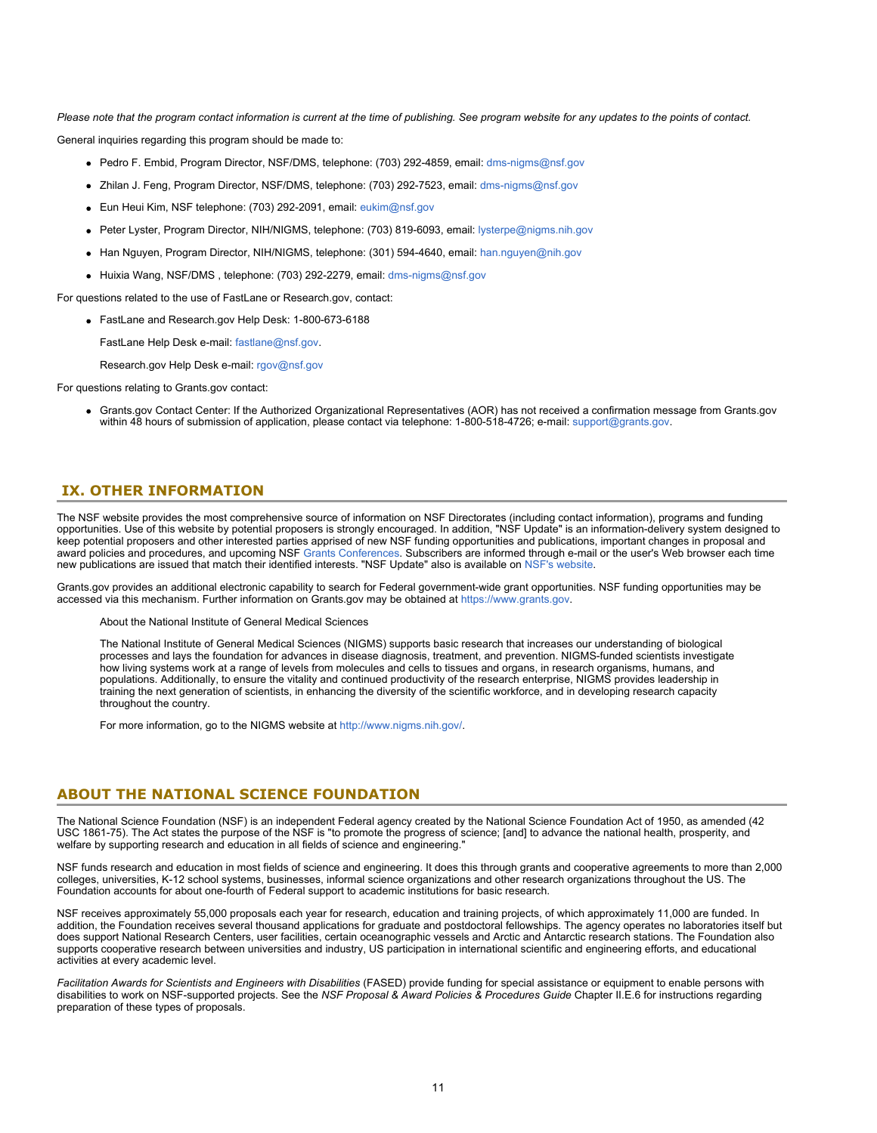*Please note that the program contact information is current at the time of publishing. See program website for any updates to the points of contact.* General inquiries regarding this program should be made to:

- Pedro F. Embid, Program Director, NSF/DMS, telephone: (703) 292-4859, email: [dms-nigms@nsf.gov](mailto:dms-nigms@nsf.gov)
- Zhilan J. Feng, Program Director, NSF/DMS, telephone: (703) 292-7523, email: [dms-nigms@nsf.gov](mailto:dms-nigms@nsf.gov)
- Eun Heui Kim, NSF telephone: (703) 292-2091, email: [eukim@nsf.gov](mailto:eukim@nsf.gov)
- Peter Lyster, Program Director, NIH/NIGMS, telephone: (703) 819-6093, email: [lysterpe@nigms.nih.gov](mailto:lysterpe@nigms.nih.gov)
- Han Nguyen, Program Director, NIH/NIGMS, telephone: (301) 594-4640, email: [han.nguyen@nih.gov](mailto:han.nguyen@nih.gov)
- Huixia Wang, NSF/DMS , telephone: (703) 292-2279, email: [dms-nigms@nsf.gov](mailto:dms-nigms@nsf.gov)

For questions related to the use of FastLane or Research.gov, contact:

- FastLane and Research.gov Help Desk: 1-800-673-6188
	- FastLane Help Desk e-mail: [fastlane@nsf.gov](mailto:fastlane@nsf.gov).

Research.gov Help Desk e-mail: [rgov@nsf.gov](mailto:rgov@nsf.gov)

For questions relating to Grants.gov contact:

Grants.gov Contact Center: If the Authorized Organizational Representatives (AOR) has not received a confirmation message from Grants.gov within 48 hours of submission of application, please contact via telephone: 1-800-518-4726; e-mail: [support@grants.gov.](mailto:support@grants.gov)

# <span id="page-10-0"></span> **IX. OTHER INFORMATION**

The NSF website provides the most comprehensive source of information on NSF Directorates (including contact information), programs and funding opportunities. Use of this website by potential proposers is strongly encouraged. In addition, "NSF Update" is an information-delivery system designed to keep potential proposers and other interested parties apprised of new NSF funding opportunities and publications, important changes in proposal and award policies and procedures, and upcoming NSF [Grants Conferences](https://www.nsf.gov/bfa/dias/policy/outreach.jsp). Subscribers are informed through e-mail or the user's Web browser each time new publications are issued that match their identified interests. "NSF Update" also is available on [NSF's website](https://www.nsf.gov/cgi-bin/goodbye?https://public.govdelivery.com/accounts/USNSF/subscriber/new?topic_id=USNSF_179).

Grants.gov provides an additional electronic capability to search for Federal government-wide grant opportunities. NSF funding opportunities may be accessed via this mechanism. Further information on Grants.gov may be obtained at [https://www.grants.gov.](https://www.grants.gov/)

About the National Institute of General Medical Sciences

The National Institute of General Medical Sciences (NIGMS) supports basic research that increases our understanding of biological processes and lays the foundation for advances in disease diagnosis, treatment, and prevention. NIGMS-funded scientists investigate how living systems work at a range of levels from molecules and cells to tissues and organs, in research organisms, humans, and populations. Additionally, to ensure the vitality and continued productivity of the research enterprise, NIGMS provides leadership in training the next generation of scientists, in enhancing the diversity of the scientific workforce, and in developing research capacity throughout the country.

For more information, go to the NIGMS website at<http://www.nigms.nih.gov/>.

# **ABOUT THE NATIONAL SCIENCE FOUNDATION**

The National Science Foundation (NSF) is an independent Federal agency created by the National Science Foundation Act of 1950, as amended (42 USC 1861-75). The Act states the purpose of the NSF is "to promote the progress of science; [and] to advance the national health, prosperity, and welfare by supporting research and education in all fields of science and engineering."

NSF funds research and education in most fields of science and engineering. It does this through grants and cooperative agreements to more than 2,000 colleges, universities, K-12 school systems, businesses, informal science organizations and other research organizations throughout the US. The Foundation accounts for about one-fourth of Federal support to academic institutions for basic research.

NSF receives approximately 55,000 proposals each year for research, education and training projects, of which approximately 11,000 are funded. In addition, the Foundation receives several thousand applications for graduate and postdoctoral fellowships. The agency operates no laboratories itself but does support National Research Centers, user facilities, certain oceanographic vessels and Arctic and Antarctic research stations. The Foundation also supports cooperative research between universities and industry, US participation in international scientific and engineering efforts, and educational activities at every academic level.

*Facilitation Awards for Scientists and Engineers with Disabilities* (FASED) provide funding for special assistance or equipment to enable persons with disabilities to work on NSF-supported projects. See the *NSF Proposal & Award Policies & Procedures Guide* Chapter II.E.6 for instructions regarding preparation of these types of proposals.